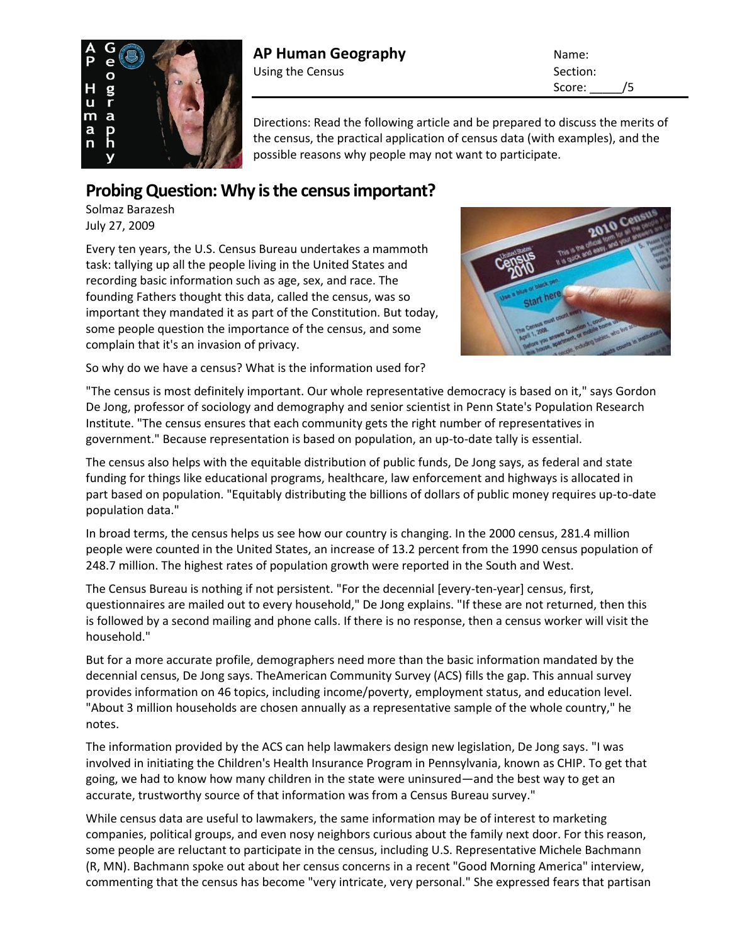

## **AP Human Geography Name:** Name: Using the Census Section:

Score: \_\_\_\_\_/5

Directions: Read the following article and be prepared to discuss the merits of the census, the practical application of census data (with examples), and the possible reasons why people may not want to participate.

## **Probing Question: Why is the census important?**

Solmaz Barazesh July 27, 2009

Every ten years, the U.S. Census Bureau undertakes a mammoth task: tallying up all the people living in the United States and recording basic information such as age, sex, and race. The founding Fathers thought this data, called the census, was so important they mandated it as part of the Constitution. But today, some people question the importance of the census, and some complain that it's an invasion of privacy.



So why do we have a census? What is the information used for?

"The census is most definitely important. Our whole representative democracy is based on it," says [Gordon](http://www.sociology.psu.edu/people/faculty/dejong.shtml)  [De Jong,](http://www.sociology.psu.edu/people/faculty/dejong.shtml) professor of [sociology and demography](http://www.sociology.psu.edu/index.shtml) and senior scientist in Penn State's [Population Research](http://www.pop.psu.edu/)  [Institute.](http://www.pop.psu.edu/) "The census ensures that each community gets the right number of representatives in government." Because representation is based on population, an up-to-date tally is essential.

The census also helps with the equitable distribution of public funds, De Jong says, as federal and state funding for things like educational programs, healthcare, law enforcement and highways is allocated in part based on population. "Equitably distributing the billions of dollars of public money requires up-to-date population data."

In broad terms, the census helps us see how our country is changing. In the 2000 census, 281.4 million people were counted in the United States, an increase of 13.2 percent from the 1990 census population of 248.7 million. The highest rates of population growth were reported in the South and West.

The Census Bureau is nothing if not persistent. "For the decennial [every-ten-year] census, first, questionnaires are mailed out to every household," De Jong explains. "If these are not returned, then this is followed by a second mailing and phone calls. If there is no response, then a census worker will visit the household."

But for a more accurate profile, demographers need more than the basic information mandated by the decennial census, De Jong says. Th[eAmerican Community Survey \(ACS\)](http://www.census.gov/acs/www/) fills the gap. This annual survey provides information on 46 topics, including income/poverty, employment status, and education level. "About 3 million households are chosen annually as a representative sample of the whole country," he notes.

The information provided by the ACS can help lawmakers design new legislation, De Jong says. "I was involved in initiating the Children's Health Insurance Program in Pennsylvania, known as CHIP. To get that going, we had to know how many children in the state were uninsured—and the best way to get an accurate, trustworthy source of that information was from a Census Bureau survey."

While census data are useful to lawmakers, the same information may be of interest to marketing companies, political groups, and even nosy neighbors curious about the family next door. For this reason, some people are reluctant to participate in the census, including U.S. Representative Michele Bachmann (R, MN). Bachmann spoke out about her census concerns in a recent "Good Morning America" interview, commenting that the census has become "very intricate, very personal." She expressed fears that partisan